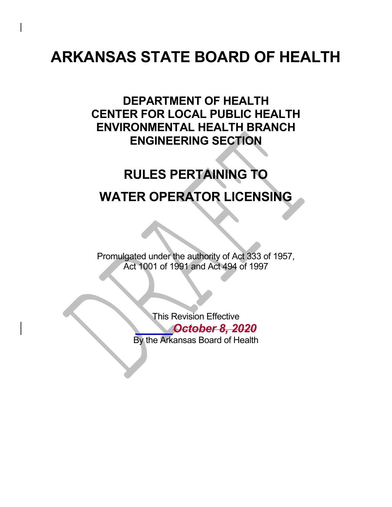# **ARKANSAS STATE BOARD OF HEALTH**

## **DEPARTMENT OF HEALTH CENTER FOR LOCAL PUBLIC HEALTH ENVIRONMENTAL HEALTH BRANCH ENGINEERING SECTION**

# **RULES PERTAINING TO WATER OPERATOR LICENSING**

Promulgated under the authority of Act 333 of 1957, Act 1001 of 1991 and Act 494 of 1997

> This Revision Effective *\_\_\_\_\_\_October 8, 2020* By the Arkansas Board of Health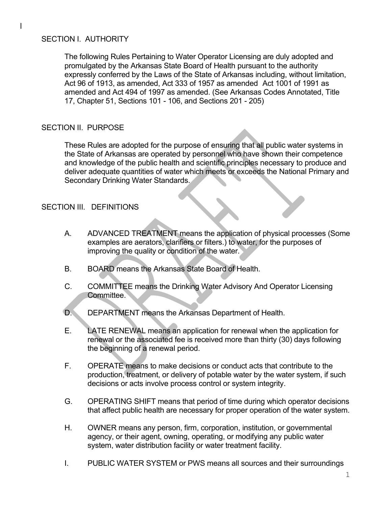#### SECTION I. AUTHORITY

The following Rules Pertaining to Water Operator Licensing are duly adopted and promulgated by the Arkansas State Board of Health pursuant to the authority expressly conferred by the Laws of the State of Arkansas including, without limitation, Act 96 of 1913, as amended, Act 333 of 1957 as amended Act 1001 of 1991 as amended and Act 494 of 1997 as amended. (See Arkansas Codes Annotated, Title 17, Chapter 51, Sections 101 - 106, and Sections 201 - 205)

#### SECTION II. PURPOSE

These Rules are adopted for the purpose of ensuring that all public water systems in the State of Arkansas are operated by personnel who have shown their competence and knowledge of the public health and scientific principles necessary to produce and deliver adequate quantities of water which meets or exceeds the National Primary and Secondary Drinking Water Standards.

#### SECTION III. DEFINITIONS

- A. ADVANCED TREATMENT means the application of physical processes (Some examples are aerators, clarifiers or filters.) to water, for the purposes of improving the quality or condition of the water.
- B. BOARD means the Arkansas State Board of Health.
- C. COMMITTEE means the Drinking Water Advisory And Operator Licensing Committee.
- D. DEPARTMENT means the Arkansas Department of Health.
- E. LATE RENEWAL means an application for renewal when the application for renewal or the associated fee is received more than thirty (30) days following the beginning of a renewal period.
- F. OPERATE means to make decisions or conduct acts that contribute to the production, treatment, or delivery of potable water by the water system, if such decisions or acts involve process control or system integrity.
- G. OPERATING SHIFT means that period of time during which operator decisions that affect public health are necessary for proper operation of the water system.
- H. OWNER means any person, firm, corporation, institution, or governmental agency, or their agent, owning, operating, or modifying any public water system, water distribution facility or water treatment facility.
- I. PUBLIC WATER SYSTEM or PWS means all sources and their surroundings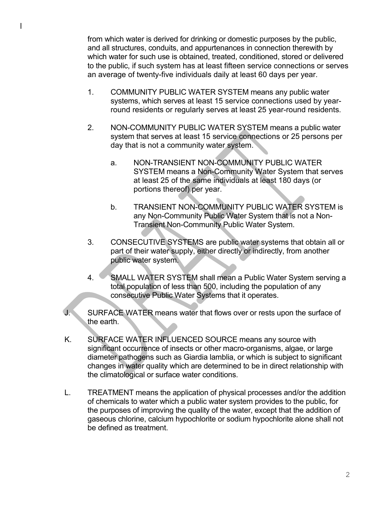from which water is derived for drinking or domestic purposes by the public, and all structures, conduits, and appurtenances in connection therewith by which water for such use is obtained, treated, conditioned, stored or delivered to the public, if such system has at least fifteen service connections or serves an average of twenty-five individuals daily at least 60 days per year.

- 1. COMMUNITY PUBLIC WATER SYSTEM means any public water systems, which serves at least 15 service connections used by yearround residents or regularly serves at least 25 year-round residents.
- 2. NON-COMMUNITY PUBLIC WATER SYSTEM means a public water system that serves at least 15 service connections or 25 persons per day that is not a community water system.
	- a. NON-TRANSIENT NON-COMMUNITY PUBLIC WATER SYSTEM means a Non-Community Water System that serves at least 25 of the same individuals at least 180 days (or portions thereof) per year.
	- b. TRANSIENT NON-COMMUNITY PUBLIC WATER SYSTEM is any Non-Community Public Water System that is not a Non-Transient Non-Community Public Water System.
- 3. CONSECUTIVE SYSTEMS are public water systems that obtain all or part of their water supply, either directly or indirectly, from another public water system.
- 4. SMALL WATER SYSTEM shall mean a Public Water System serving a total population of less than 500, including the population of any consecutive Public Water Systems that it operates.
- J. SURFACE WATER means water that flows over or rests upon the surface of the earth.
- K. SURFACE WATER INFLUENCED SOURCE means any source with significant occurrence of insects or other macro-organisms, algae, or large diameter pathogens such as Giardia lamblia, or which is subject to significant changes in water quality which are determined to be in direct relationship with the climatological or surface water conditions.
- L. TREATMENT means the application of physical processes and/or the addition of chemicals to water which a public water system provides to the public, for the purposes of improving the quality of the water, except that the addition of gaseous chlorine, calcium hypochlorite or sodium hypochlorite alone shall not be defined as treatment.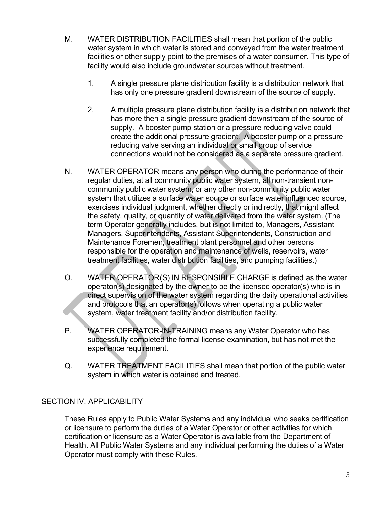- M. WATER DISTRIBUTION FACILITIES shall mean that portion of the public water system in which water is stored and conveyed from the water treatment facilities or other supply point to the premises of a water consumer. This type of facility would also include groundwater sources without treatment.
	- 1. A single pressure plane distribution facility is a distribution network that has only one pressure gradient downstream of the source of supply.
	- 2. A multiple pressure plane distribution facility is a distribution network that has more then a single pressure gradient downstream of the source of supply. A booster pump station or a pressure reducing valve could create the additional pressure gradient. A booster pump or a pressure reducing valve serving an individual or small group of service connections would not be considered as a separate pressure gradient.
- N. WATER OPERATOR means any person who during the performance of their regular duties, at all community public water system, all non-transient noncommunity public water system, or any other non-community public water system that utilizes a surface water source or surface water influenced source, exercises individual judgment, whether directly or indirectly, that might affect the safety, quality, or quantity of water delivered from the water system. (The term Operator generally includes, but is not limited to, Managers, Assistant Managers, Superintendents, Assistant Superintendents, Construction and Maintenance Foremen, treatment plant personnel and other persons responsible for the operation and maintenance of wells, reservoirs, water treatment facilities, water distribution facilities, and pumping facilities.)
- O. WATER OPERATOR(S) IN RESPONSIBLE CHARGE is defined as the water operator(s) designated by the owner to be the licensed operator(s) who is in direct supervision of the water system regarding the daily operational activities and protocols that an operator(s) follows when operating a public water system, water treatment facility and/or distribution facility.
- P. WATER OPERATOR-IN-TRAINING means any Water Operator who has successfully completed the formal license examination, but has not met the experience requirement.
- Q. WATER TREATMENT FACILITIES shall mean that portion of the public water system in which water is obtained and treated.

#### SECTION IV. APPLICABILITY

These Rules apply to Public Water Systems and any individual who seeks certification or licensure to perform the duties of a Water Operator or other activities for which certification or licensure as a Water Operator is available from the Department of Health. All Public Water Systems and any individual performing the duties of a Water Operator must comply with these Rules.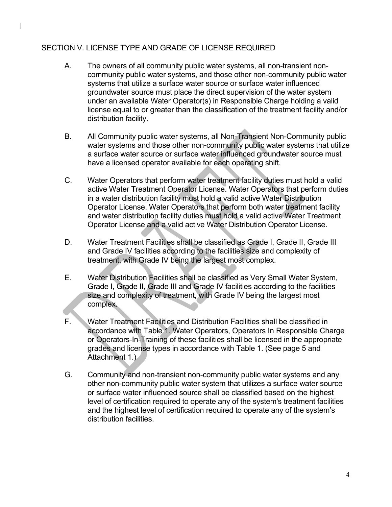#### SECTION V. LICENSE TYPE AND GRADE OF LICENSE REQUIRED

- A. The owners of all community public water systems, all non-transient noncommunity public water systems, and those other non-community public water systems that utilize a surface water source or surface water influenced groundwater source must place the direct supervision of the water system under an available Water Operator(s) in Responsible Charge holding a valid license equal to or greater than the classification of the treatment facility and/or distribution facility.
- B. All Community public water systems, all Non-Transient Non-Community public water systems and those other non-community public water systems that utilize a surface water source or surface water influenced groundwater source must have a licensed operator available for each operating shift.
- C. Water Operators that perform water treatment facility duties must hold a valid active Water Treatment Operator License. Water Operators that perform duties in a water distribution facility must hold a valid active Water Distribution Operator License. Water Operators that perform both water treatment facility and water distribution facility duties must hold a valid active Water Treatment Operator License and a valid active Water Distribution Operator License.
- D. Water Treatment Facilities shall be classified as Grade I, Grade II, Grade III and Grade IV facilities according to the facilities size and complexity of treatment, with Grade IV being the largest most complex.
- E. Water Distribution Facilities shall be classified as Very Small Water System, Grade I, Grade II, Grade III and Grade IV facilities according to the facilities size and complexity of treatment, with Grade IV being the largest most complex.
- F. Water Treatment Facilities and Distribution Facilities shall be classified in accordance with Table 1. Water Operators, Operators In Responsible Charge or Operators-In-Training of these facilities shall be licensed in the appropriate grades and license types in accordance with Table 1. (See page 5 and Attachment 1.)
- G. Community and non-transient non-community public water systems and any other non-community public water system that utilizes a surface water source or surface water influenced source shall be classified based on the highest level of certification required to operate any of the system's treatment facilities and the highest level of certification required to operate any of the system's distribution facilities.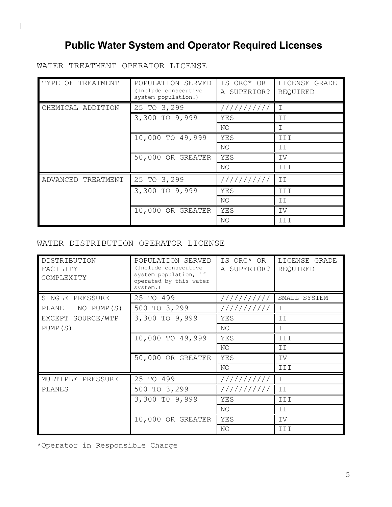## **Public Water System and Operator Required Licenses**

WATER TREATMENT OPERATOR LICENSE

| TYPE OF TREATMENT     | POPULATION SERVED<br>(Include consecutive<br>system population.) | IS ORC* OR<br>A SUPERIOR? | LICENSE GRADE<br>REQUIRED |  |  |
|-----------------------|------------------------------------------------------------------|---------------------------|---------------------------|--|--|
| CHEMICAL ADDITION     | 25 TO 3,299                                                      | //////////                | $\top$                    |  |  |
|                       | 3,300 TO 9,999                                                   | YES                       | ΙI                        |  |  |
|                       |                                                                  | NO                        | T.                        |  |  |
|                       | 10,000 TO 49,999                                                 | YES                       | III                       |  |  |
|                       |                                                                  | NO                        | ΙI                        |  |  |
|                       | 50,000 OR GREATER                                                | YES                       | IV                        |  |  |
|                       |                                                                  | NO                        | III                       |  |  |
| ADVANCED<br>TREATMENT | 25 TO 3,299                                                      | //////////                | II                        |  |  |
|                       | 3,300 TO 9,999                                                   | YES                       | III                       |  |  |
|                       |                                                                  | NO                        | ΙI                        |  |  |
|                       | 10,000 OR GREATER                                                | YES                       | IV                        |  |  |
|                       |                                                                  | NO                        | III                       |  |  |

#### WATER DISTRIBUTION OPERATOR LICENSE

| DISTRIBUTION<br>FACILITY<br>COMPLEXITY | POPULATION SERVED<br>(Include consecutive<br>system population, if<br>operated by this water<br>system.) | IS ORC* OR<br>A SUPERIOR? | LICENSE GRADE<br>REQUIRED |
|----------------------------------------|----------------------------------------------------------------------------------------------------------|---------------------------|---------------------------|
| SINGLE PRESSURE                        | 25 TO 499                                                                                                | //////////                | SMALL SYSTEM              |
| $PLANE - NO PUMP(S)$                   | 500 TO 3,299                                                                                             |                           | $\mathbf I$               |
| EXCEPT SOURCE/WTP                      | 3,300 TO 9,999                                                                                           | YES                       | ΙI                        |
| PUMP (S)                               |                                                                                                          | NO                        | $\mathbf I$               |
|                                        | 10,000 TO 49,999                                                                                         | YES                       | III                       |
|                                        |                                                                                                          | NO                        | II                        |
|                                        | 50,000 OR GREATER                                                                                        | YES                       | IV                        |
|                                        |                                                                                                          | NO                        | III                       |
| MULTIPLE PRESSURE                      | 25 TO 499                                                                                                | //////////                | $\mathbf I$               |
| PLANES                                 | 500 TO 3,299                                                                                             | ///////////               | II                        |
|                                        | 3,300 TO 9,999                                                                                           | YES                       | III                       |
|                                        |                                                                                                          | NO.                       | II                        |
|                                        | 10,000 OR GREATER                                                                                        | YES                       | IV                        |
|                                        |                                                                                                          | NO                        | III                       |

\*Operator in Responsible Charge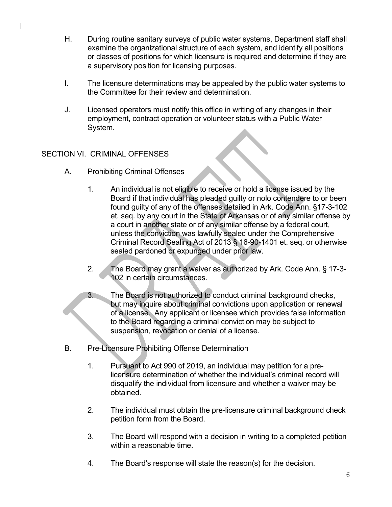- H. During routine sanitary surveys of public water systems, Department staff shall examine the organizational structure of each system, and identify all positions or classes of positions for which licensure is required and determine if they are a supervisory position for licensing purposes.
- I. The licensure determinations may be appealed by the public water systems to the Committee for their review and determination.
- J. Licensed operators must notify this office in writing of any changes in their employment, contract operation or volunteer status with a Public Water System.

#### SECTION VI. CRIMINAL OFFENSES

- A. Prohibiting Criminal Offenses
	- 1. An individual is not eligible to receive or hold a license issued by the Board if that individual has pleaded guilty or nolo contendere to or been found guilty of any of the offenses detailed in Ark. Code Ann. §17-3-102 et. seq. by any court in the State of Arkansas or of any similar offense by a court in another state or of any similar offense by a federal court, unless the conviction was lawfully sealed under the Comprehensive Criminal Record Sealing Act of 2013 § 16-90-1401 et. seq. or otherwise sealed pardoned or expunged under prior law.
	- 2. The Board may grant a waiver as authorized by Ark. Code Ann. § 17-3- 102 in certain circumstances.
	- 3. The Board is not authorized to conduct criminal background checks, but may inquire about criminal convictions upon application or renewal of a license. Any applicant or licensee which provides false information to the Board regarding a criminal conviction may be subject to suspension, revocation or denial of a license.
- B. Pre-Licensure Prohibiting Offense Determination
	- 1. Pursuant to Act 990 of 2019, an individual may petition for a prelicensure determination of whether the individual's criminal record will disqualify the individual from licensure and whether a waiver may be obtained.
	- 2. The individual must obtain the pre-licensure criminal background check petition form from the Board.
	- 3. The Board will respond with a decision in writing to a completed petition within a reasonable time.
	- 4. The Board's response will state the reason(s) for the decision.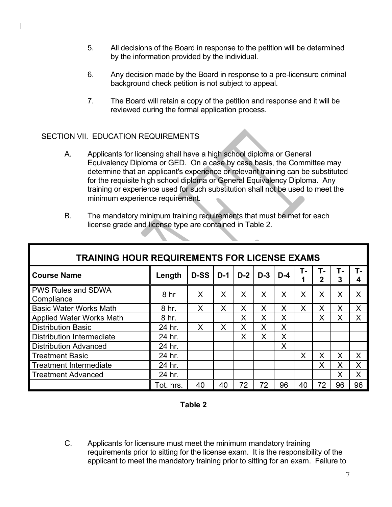- 5. All decisions of the Board in response to the petition will be determined by the information provided by the individual.
- 6. Any decision made by the Board in response to a pre-licensure criminal background check petition is not subject to appeal.
- 7. The Board will retain a copy of the petition and response and it will be reviewed during the formal application process.

#### SECTION VII. EDUCATION REQUIREMENTS

- A. Applicants for licensing shall have a high school diploma or General Equivalency Diploma or GED. On a case by case basis, the Committee may determine that an applicant's experience or relevant training can be substituted for the requisite high school diploma or General Equivalency Diploma. Any training or experience used for such substitution shall not be used to meet the minimum experience requirement.
- B. The mandatory minimum training requirements that must be met for each license grade and license type are contained in Table 2.

| <b>TRAINING HOUR REQUIREMENTS FOR LICENSE EXAMS</b> |                 |             |       |       |       |       |    |                    |         |    |
|-----------------------------------------------------|-----------------|-------------|-------|-------|-------|-------|----|--------------------|---------|----|
| <b>Course Name</b>                                  | Length          | <b>D-SS</b> | $D-1$ | $D-2$ | $D-3$ | $D-4$ | т. | т.<br>$\mathbf{2}$ | т.<br>3 |    |
| <b>PWS Rules and SDWA</b><br>Compliance             | 8 <sub>hr</sub> | X           | X     | X     | X     | Χ     | X  | X                  | X       | X  |
| <b>Basic Water Works Math</b>                       | 8 hr.           | X           | Χ     | Χ     | X     | X     | X  | X                  | X       | X  |
| <b>Applied Water Works Math</b>                     | 8 hr.           |             |       | Χ     | X     | Χ     |    | X                  | X       | X  |
| <b>Distribution Basic</b>                           | 24 hr.          | X           | X     | X     | X     | X     |    |                    |         |    |
| <b>Distribution Intermediate</b>                    | 24 hr.          |             |       | X     | X     | X     |    |                    |         |    |
| <b>Distribution Advanced</b>                        | 24 hr.          |             |       |       |       | X     |    |                    |         |    |
| <b>Treatment Basic</b>                              | 24 hr.          |             |       |       |       |       | X  | X                  | X       | X  |
| <b>Treatment Intermediate</b>                       | 24 hr.          |             |       |       |       |       |    | X                  | X       | X  |
| <b>Treatment Advanced</b>                           | 24 hr.          |             |       |       |       |       |    |                    | X       | X  |
|                                                     | Tot. hrs.       | 40          | 40    | 72    | 72    | 96    | 40 | 72                 | 96      | 96 |

#### **Table 2**

C. Applicants for licensure must meet the minimum mandatory training requirements prior to sitting for the license exam. It is the responsibility of the applicant to meet the mandatory training prior to sitting for an exam. Failure to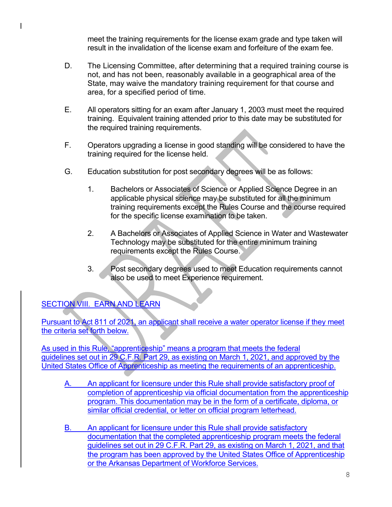meet the training requirements for the license exam grade and type taken will result in the invalidation of the license exam and forfeiture of the exam fee.

- D. The Licensing Committee, after determining that a required training course is not, and has not been, reasonably available in a geographical area of the State, may waive the mandatory training requirement for that course and area, for a specified period of time.
- E. All operators sitting for an exam after January 1, 2003 must meet the required training. Equivalent training attended prior to this date may be substituted for the required training requirements.
- F. Operators upgrading a license in good standing will be considered to have the training required for the license held.
- G. Education substitution for post secondary degrees will be as follows:
	- 1. Bachelors or Associates of Science or Applied Science Degree in an applicable physical science may be substituted for all the minimum training requirements except the Rules Course and the course required for the specific license examination to be taken.
	- 2. A Bachelors or Associates of Applied Science in Water and Wastewater Technology may be substituted for the entire minimum training requirements except the Rules Course.
	- 3. Post secondary degrees used to meet Education requirements cannot also be used to meet Experience requirement.

### SECTION VIII. EARN AND LEARN

Pursuant to Act 811 of 2021, an applicant shall receive a water operator license if they meet the criteria set forth below.

As used in this Rule, "apprenticeship" means a program that meets the federal guidelines set out in 29 C.F.R. Part 29, as existing on March 1, 2021, and approved by the United States Office of Apprenticeship as meeting the requirements of an apprenticeship.

- A. An applicant for licensure under this Rule shall provide satisfactory proof of completion of apprenticeship via official documentation from the apprenticeship program. This documentation may be in the form of a certificate, diploma, or similar official credential, or letter on official program letterhead.
- B. An applicant for licensure under this Rule shall provide satisfactory documentation that the completed apprenticeship program meets the federal guidelines set out in 29 C.F.R. Part 29, as existing on March 1, 2021, and that the program has been approved by the United States Office of Apprenticeship or the Arkansas Department of Workforce Services.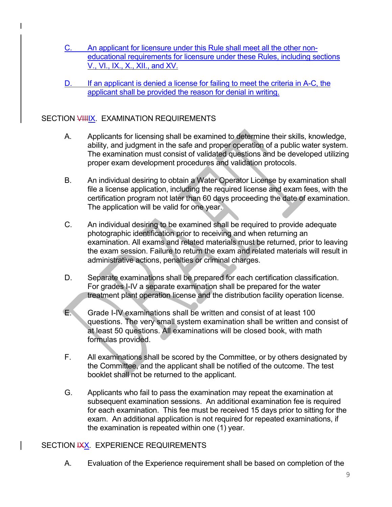- C. An applicant for licensure under this Rule shall meet all the other noneducational requirements for licensure under these Rules, including sections V., VI., IX., X., XII., and XV.
- D. If an applicant is denied a license for failing to meet the criteria in A-C, the applicant shall be provided the reason for denial in writing.

#### SECTION VIIIIX. EXAMINATION REQUIREMENTS

- A. Applicants for licensing shall be examined to determine their skills, knowledge, ability, and judgment in the safe and proper operation of a public water system. The examination must consist of validated questions and be developed utilizing proper exam development procedures and validation protocols.
- B. An individual desiring to obtain a Water Operator License by examination shall file a license application, including the required license and exam fees, with the certification program not later than 60 days proceeding the date of examination. The application will be valid for one year.
- C. An individual desiring to be examined shall be required to provide adequate photographic identification prior to receiving and when returning an examination. All exams and related materials must be returned, prior to leaving the exam session. Failure to return the exam and related materials will result in administrative actions, penalties or criminal charges.
- D. Separate examinations shall be prepared for each certification classification. For grades I-IV a separate examination shall be prepared for the water treatment plant operation license and the distribution facility operation license.
- E. Grade I-IV examinations shall be written and consist of at least 100 questions. The very small system examination shall be written and consist of at least 50 questions. All examinations will be closed book, with math formulas provided.
- F. All examinations shall be scored by the Committee, or by others designated by the Committee, and the applicant shall be notified of the outcome. The test booklet shall not be returned to the applicant.
- G. Applicants who fail to pass the examination may repeat the examination at subsequent examination sessions. An additional examination fee is required for each examination. This fee must be received 15 days prior to sitting for the exam. An additional application is not required for repeated examinations, if the examination is repeated within one (1) year.

#### SECTION **IXX.** EXPERIENCE REQUIREMENTS

A. Evaluation of the Experience requirement shall be based on completion of the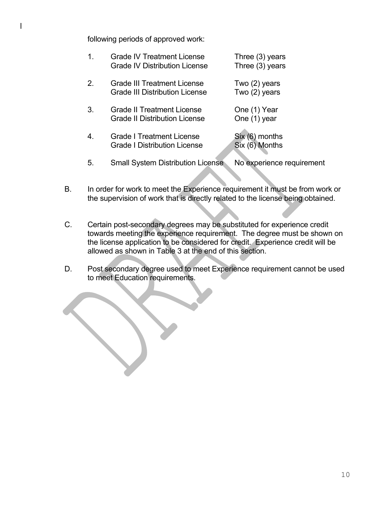following periods of approved work:

| 1 <sub>1</sub> | <b>Grade IV Treatment License</b><br><b>Grade IV Distribution License</b>   | Three (3) years<br>Three $(3)$ years |
|----------------|-----------------------------------------------------------------------------|--------------------------------------|
| 2.             | <b>Grade III Treatment License</b><br><b>Grade III Distribution License</b> | Two $(2)$ years<br>Two (2) years     |
| 3.             | <b>Grade II Treatment License</b><br><b>Grade II Distribution License</b>   | One (1) Year<br>One (1) year         |
| 4.             | <b>Grade I Treatment License</b><br><b>Grade I Distribution License</b>     | $Six (6)$ months<br>Six (6) Months   |
| 5.             | <b>Small System Distribution License</b>                                    | No experience requirement            |

- B. In order for work to meet the Experience requirement it must be from work or the supervision of work that is directly related to the license being obtained.
- C. Certain post-secondary degrees may be substituted for experience credit towards meeting the experience requirement. The degree must be shown on the license application to be considered for credit. Experience credit will be allowed as shown in Table 3 at the end of this section.
- D. Post secondary degree used to meet Experience requirement cannot be used to meet Education requirements.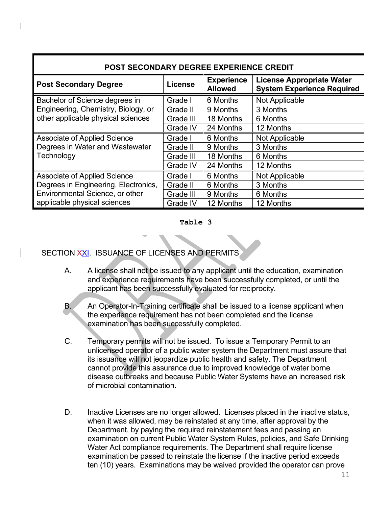| <b>POST SECONDARY DEGREE EXPERIENCE CREDIT</b> |           |                                     |                                                                       |  |  |  |  |
|------------------------------------------------|-----------|-------------------------------------|-----------------------------------------------------------------------|--|--|--|--|
| <b>Post Secondary Degree</b>                   | License   | <b>Experience</b><br><b>Allowed</b> | <b>License Appropriate Water</b><br><b>System Experience Required</b> |  |  |  |  |
| Bachelor of Science degrees in                 | Grade I   | 6 Months                            | Not Applicable                                                        |  |  |  |  |
| Engineering, Chemistry, Biology, or            | Grade II  | 9 Months                            | 3 Months                                                              |  |  |  |  |
| other applicable physical sciences             | Grade III | 18 Months                           | 6 Months                                                              |  |  |  |  |
|                                                | Grade IV  | 24 Months                           | 12 Months                                                             |  |  |  |  |
| <b>Associate of Applied Science</b>            | Grade I   | 6 Months                            | Not Applicable                                                        |  |  |  |  |
| Degrees in Water and Wastewater                | Grade II  | 9 Months                            | 3 Months                                                              |  |  |  |  |
| Technology                                     | Grade III | 18 Months                           | 6 Months                                                              |  |  |  |  |
|                                                | Grade IV  | 24 Months                           | 12 Months                                                             |  |  |  |  |
| <b>Associate of Applied Science</b>            | Grade I   | 6 Months                            | Not Applicable                                                        |  |  |  |  |
| Degrees in Engineering, Electronics,           | Grade II  | 6 Months                            | 3 Months                                                              |  |  |  |  |
| Environmental Science, or other                | Grade III | 9 Months                            | 6 Months                                                              |  |  |  |  |
| applicable physical sciences                   | Grade IV  | 12 Months                           | 12 Months                                                             |  |  |  |  |

#### **Table 3**

#### SECTION XXI. ISSUANCE OF LICENSES AND PERMITS

- A. A license shall not be issued to any applicant until the education, examination and experience requirements have been successfully completed, or until the applicant has been successfully evaluated for reciprocity.
- B. An Operator-In-Training certificate shall be issued to a license applicant when the experience requirement has not been completed and the license examination has been successfully completed.
- C. Temporary permits will not be issued. To issue a Temporary Permit to an unlicensed operator of a public water system the Department must assure that its issuance will not jeopardize public health and safety. The Department cannot provide this assurance due to improved knowledge of water borne disease outbreaks and because Public Water Systems have an increased risk of microbial contamination.
- D. Inactive Licenses are no longer allowed. Licenses placed in the inactive status, when it was allowed, may be reinstated at any time, after approval by the Department, by paying the required reinstatement fees and passing an examination on current Public Water System Rules, policies, and Safe Drinking Water Act compliance requirements. The Department shall require license examination be passed to reinstate the license if the inactive period exceeds ten (10) years. Examinations may be waived provided the operator can prove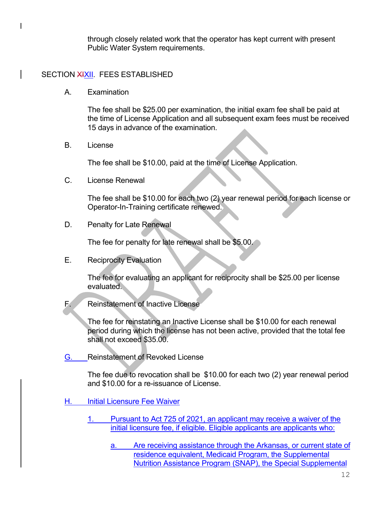through closely related work that the operator has kept current with present Public Water System requirements.

#### SECTION XIXII. FEES ESTABLISHED

A. Examination

The fee shall be \$25.00 per examination, the initial exam fee shall be paid at the time of License Application and all subsequent exam fees must be received 15 days in advance of the examination.

B. License

The fee shall be \$10.00, paid at the time of License Application.

C. License Renewal

The fee shall be \$10.00 for each two (2) year renewal period for each license or Operator-In-Training certificate renewed.

D. Penalty for Late Renewal

The fee for penalty for late renewal shall be \$5.00.

E. Reciprocity Evaluation

The fee for evaluating an applicant for reciprocity shall be \$25.00 per license evaluated.

F. Reinstatement of Inactive License

The fee for reinstating an Inactive License shall be \$10.00 for each renewal period during which the license has not been active, provided that the total fee shall not exceed \$35.00.

G. Reinstatement of Revoked License

The fee due to revocation shall be \$10.00 for each two (2) year renewal period and \$10.00 for a re-issuance of License.

- H. Initial Licensure Fee Waiver
	- 1. Pursuant to Act 725 of 2021, an applicant may receive a waiver of the initial licensure fee, if eligible. Eligible applicants are applicants who:
		- a. Are receiving assistance through the Arkansas, or current state of residence equivalent, Medicaid Program, the Supplemental Nutrition Assistance Program (SNAP), the Special Supplemental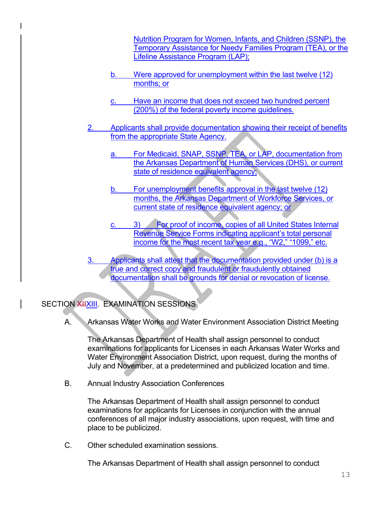Nutrition Program for Women, Infants, and Children (SSNP), the Temporary Assistance for Needy Families Program (TEA), or the Lifeline Assistance Program (LAP);

- b. Were approved for unemployment within the last twelve (12) months; or
- c. Have an income that does not exceed two hundred percent (200%) of the federal poverty income guidelines.
- Applicants shall provide documentation showing their receipt of benefits from the appropriate State Agency.
	- a. For Medicaid, SNAP, SSNP, TEA, or LAP, documentation from the Arkansas Department of Human Services (DHS), or current state of residence equivalent agency;
	- b. For unemployment benefits approval in the last twelve (12) months, the Arkansas Department of Workforce Services, or current state of residence equivalent agency; or
	- c. 3) For proof of income, copies of all United States Internal Revenue Service Forms indicating applicant's total personal income for the most recent tax year e.g., "W2," "1099," etc.
- 3. Applicants shall attest that the documentation provided under (b) is a true and correct copy and fraudulent or fraudulently obtained documentation shall be grounds for denial or revocation of license.

#### SECTION XIIXIII. EXAMINATION SESSIONS

A. Arkansas Water Works and Water Environment Association District Meeting

The Arkansas Department of Health shall assign personnel to conduct examinations for applicants for Licenses in each Arkansas Water Works and Water Environment Association District, upon request, during the months of July and November, at a predetermined and publicized location and time.

B. Annual Industry Association Conferences

The Arkansas Department of Health shall assign personnel to conduct examinations for applicants for Licenses in conjunction with the annual conferences of all major industry associations, upon request, with time and place to be publicized.

C. Other scheduled examination sessions.

The Arkansas Department of Health shall assign personnel to conduct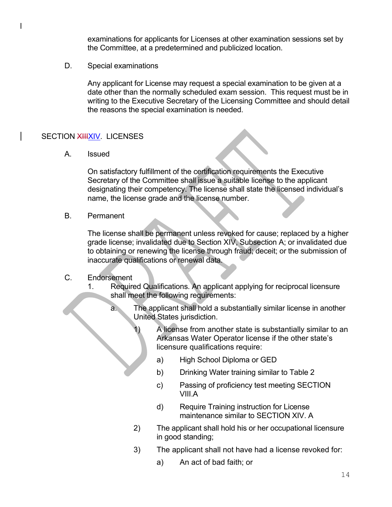examinations for applicants for Licenses at other examination sessions set by the Committee, at a predetermined and publicized location.

D. Special examinations

Any applicant for License may request a special examination to be given at a date other than the normally scheduled exam session. This request must be in writing to the Executive Secretary of the Licensing Committee and should detail the reasons the special examination is needed.

#### SECTION XIIIXIV. LICENSES

A. Issued

On satisfactory fulfillment of the certification requirements the Executive Secretary of the Committee shall issue a suitable license to the applicant designating their competency. The license shall state the licensed individual's name, the license grade and the license number.

B. Permanent

The license shall be permanent unless revoked for cause; replaced by a higher grade license; invalidated due to Section XIV, Subsection A; or invalidated due to obtaining or renewing the license through fraud; deceit; or the submission of inaccurate qualifications or renewal data.

#### C. Endorsement

- 1. Required Qualifications. An applicant applying for reciprocal licensure shall meet the following requirements:
	- a. The applicant shall hold a substantially similar license in another United States jurisdiction.
		- A license from another state is substantially similar to an Arkansas Water Operator license if the other state's licensure qualifications require:
			- a) High School Diploma or GED
			- b) Drinking Water training similar to Table 2
			- c) Passing of proficiency test meeting SECTION VIII.A
			- d) Require Training instruction for License maintenance similar to SECTION XIV. A
		- 2) The applicant shall hold his or her occupational licensure in good standing;
		- 3) The applicant shall not have had a license revoked for:
			- a) An act of bad faith; or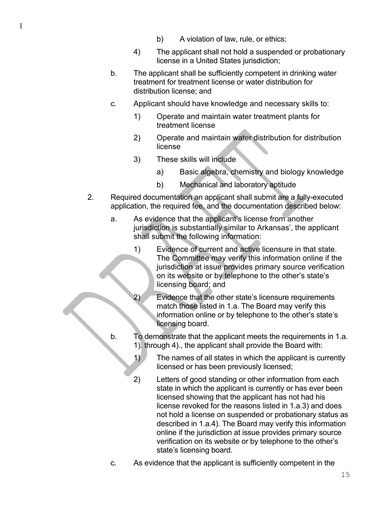- b) A violation of law, rule, or ethics;
- 4) The applicant shall not hold a suspended or probationary license in a United States jurisdiction;
- b. The applicant shall be sufficiently competent in drinking water treatment for treatment license or water distribution for distribution license; and
- c. Applicant should have knowledge and necessary skills to:
	- 1) Operate and maintain water treatment plants for treatment license
	- 2) Operate and maintain water distribution for distribution license
	- 3) These skills will include
		- a) Basic algebra, chemistry and biology knowledge
		- b) Mechanical and laboratory aptitude
- 2. Required documentation an applicant shall submit are a fully-executed application, the required fee, and the documentation described below:
	- a. As evidence that the applicant's license from another jurisdiction is substantially similar to Arkansas', the applicant shall submit the following information:
		- 1) Evidence of current and active licensure in that state. The Committee may verify this information online if the jurisdiction at issue provides primary source verification on its website or by telephone to the other's state's licensing board; and
			- Evidence that the other state's licensure requirements match those listed in 1.a. The Board may verify this information online or by telephone to the other's state's licensing board.
	- b. To demonstrate that the applicant meets the requirements in 1.a. 1). through 4)., the applicant shall provide the Board with:
		- 1) The names of all states in which the applicant is currently licensed or has been previously licensed;
		- 2) Letters of good standing or other information from each state in which the applicant is currently or has ever been licensed showing that the applicant has not had his license revoked for the reasons listed in 1.a.3) and does not hold a license on suspended or probationary status as described in 1.a.4). The Board may verify this information online if the jurisdiction at issue provides primary source verification on its website or by telephone to the other's state's licensing board.
		- c. As evidence that the applicant is sufficiently competent in the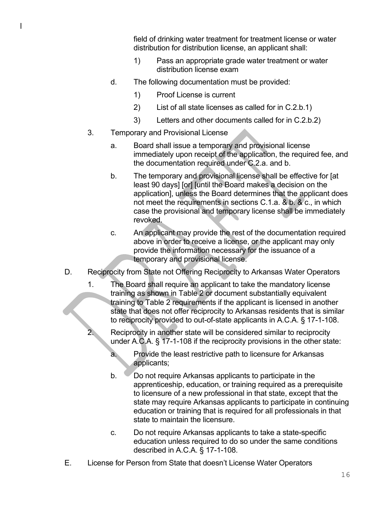field of drinking water treatment for treatment license or water distribution for distribution license, an applicant shall:

- 1) Pass an appropriate grade water treatment or water distribution license exam
- d. The following documentation must be provided:
	- 1) Proof License is current
	- 2) List of all state licenses as called for in C.2.b.1)
	- 3) Letters and other documents called for in C.2.b.2)
- 3. Temporary and Provisional License
	- a. Board shall issue a temporary and provisional license immediately upon receipt of the application, the required fee, and the documentation required under C.2.a. and b.
	- b. The temporary and provisional license shall be effective for [at least 90 days] [or] [until the Board makes a decision on the application], unless the Board determines that the applicant does not meet the requirements in sections C.1.a. & b. & c., in which case the provisional and temporary license shall be immediately revoked.
	- c. An applicant may provide the rest of the documentation required above in order to receive a license, or the applicant may only provide the information necessary for the issuance of a temporary and provisional license.
- D. Reciprocity from State not Offering Reciprocity to Arkansas Water Operators
	- 1. The Board shall require an applicant to take the mandatory license training as shown in Table 2 or document substantially equivalent training to Table 2 requirements if the applicant is licensed in another state that does not offer reciprocity to Arkansas residents that is similar to reciprocity provided to out-of-state applicants in A.C.A. § 17-1-108.
	- 2. Reciprocity in another state will be considered similar to reciprocity under A.C.A. § 17-1-108 if the reciprocity provisions in the other state:
		- a. Provide the least restrictive path to licensure for Arkansas applicants;
		- b. Do not require Arkansas applicants to participate in the apprenticeship, education, or training required as a prerequisite to licensure of a new professional in that state, except that the state may require Arkansas applicants to participate in continuing education or training that is required for all professionals in that state to maintain the licensure.
		- c. Do not require Arkansas applicants to take a state-specific education unless required to do so under the same conditions described in A.C.A. § 17-1-108.
- E. License for Person from State that doesn't License Water Operators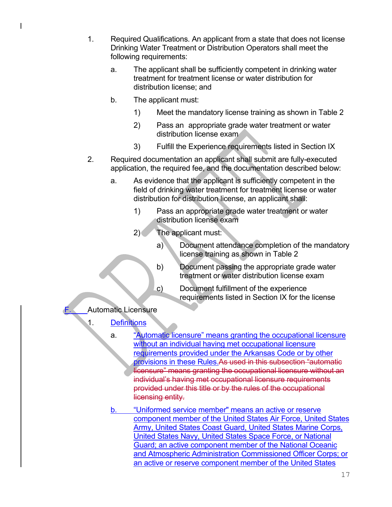- 1. Required Qualifications. An applicant from a state that does not license Drinking Water Treatment or Distribution Operators shall meet the following requirements:
	- a. The applicant shall be sufficiently competent in drinking water treatment for treatment license or water distribution for distribution license; and
	- b. The applicant must:
		- 1) Meet the mandatory license training as shown in Table 2
		- 2) Pass an appropriate grade water treatment or water distribution license exam
		- 3) Fulfill the Experience requirements listed in Section IX
- 2. Required documentation an applicant shall submit are fully-executed application, the required fee, and the documentation described below:
	- a. As evidence that the applicant is sufficiently competent in the field of drinking water treatment for treatment license or water distribution for distribution license, an applicant shall:
		- 1) Pass an appropriate grade water treatment or water distribution license exam
		- 2) The applicant must:
			- a) Document attendance completion of the mandatory license training as shown in Table 2
			- b) Document passing the appropriate grade water treatment or water distribution license exam
			- c) Document fulfillment of the experience requirements listed in Section IX for the license
- **Automatic Licensure** 
	- 1. Definitions
		- a. "Automatic licensure" means granting the occupational licensure without an individual having met occupational licensure requirements provided under the Arkansas Code or by other provisions in these Rules.As used in this subsection "automatic licensure" means granting the occupational licensure without an individual's having met occupational licensure requirements provided under this title or by the rules of the occupational licensing entity.
		- b. "Uniformed service member" means an active or reserve component member of the United States Air Force, United States Army, United States Coast Guard, United States Marine Corps, United States Navy, United States Space Force, or National Guard; an active component member of the National Oceanic and Atmospheric Administration Commissioned Officer Corps; or an active or reserve component member of the United States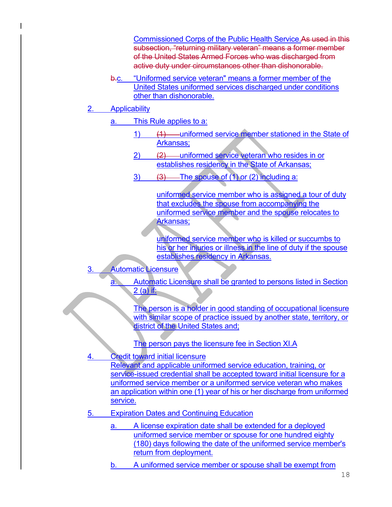Commissioned Corps of the Public Health Service.As used in this subsection, "returning military veteran" means a former member of the United States Armed Forces who was discharged from active duty under circumstances other than dishonorable.

- b.c. "Uniformed service veteran" means a former member of the United States uniformed services discharged under conditions other than dishonorable.
- **Applicability** 
	- a. This Rule applies to a:
		- 1) (1) uniformed service member stationed in the State of Arkansas;
		- 2) (2) uniformed service veteran who resides in or establishes residency in the State of Arkansas;
		- $3)$   $(3)$  The spouse of  $(1)$  or  $(2)$  including a:

uniformed service member who is assigned a tour of duty that excludes the spouse from accompanying the uniformed service member and the spouse relocates to Arkansas;

uniformed service member who is killed or succumbs to his or her injuries or illness in the line of duty if the spouse establishes residency in Arkansas.

- **Automatic Licensure** 
	- Automatic Licensure shall be granted to persons listed in Section  $2$  (a) if:

The person is a holder in good standing of occupational licensure with similar scope of practice issued by another state, territory, or district of the United States and;

The person pays the licensure fee in Section XI.A

- **Credit toward initial licensure** Relevant and applicable uniformed service education, training, or service-issued credential shall be accepted toward initial licensure for a uniformed service member or a uniformed service veteran who makes an application within one (1) year of his or her discharge from uniformed service.
- 5. Expiration Dates and Continuing Education
	- a. A license expiration date shall be extended for a deployed uniformed service member or spouse for one hundred eighty (180) days following the date of the uniformed service member's return from deployment.
	- b. A uniformed service member or spouse shall be exempt from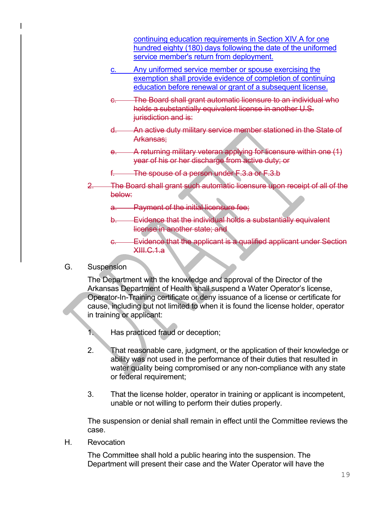continuing education requirements in Section XIV.A for one hundred eighty (180) days following the date of the uniformed service member's return from deployment.

- c. Any uniformed service member or spouse exercising the exemption shall provide evidence of completion of continuing education before renewal or grant of a subsequent license.
- The Board shall grant automatic licensure to an individual who holds a substantially equivalent license in another U.S. jurisdiction and is:
- d. An active duty military service member stationed in the State of Arkansas;
- e. A returning military veteran applying for licensure within one (1) year of his or her discharge from active duty; or
- f. The spouse of a person under F.3.a or F.3.b
- 2. The Board shall grant such automatic licensure upon receipt of all of the below:
	- a. Payment of the initial licensure fee;
	- b. Evidence that the individual holds a substantially equivalent license in another state; and
	- c. Evidence that the applicant is a qualified applicant under Section XIII.C.1.a
- G. Suspension

The Department with the knowledge and approval of the Director of the Arkansas Department of Health shall suspend a Water Operator's license, Operator-In-Training certificate or deny issuance of a license or certificate for cause, including but not limited to when it is found the license holder, operator in training or applicant:

- 1. Has practiced fraud or deception;
- 2. That reasonable care, judgment, or the application of their knowledge or ability was not used in the performance of their duties that resulted in water quality being compromised or any non-compliance with any state or federal requirement;
- 3. That the license holder, operator in training or applicant is incompetent, unable or not willing to perform their duties properly.

The suspension or denial shall remain in effect until the Committee reviews the case.

H. Revocation

The Committee shall hold a public hearing into the suspension. The Department will present their case and the Water Operator will have the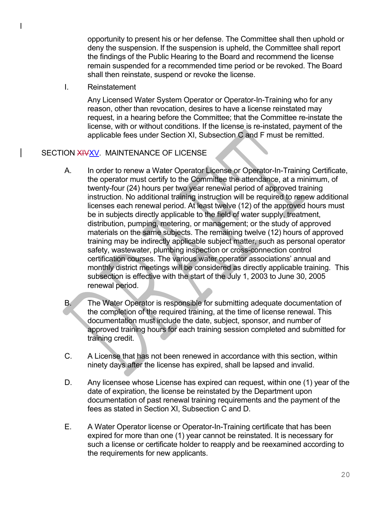opportunity to present his or her defense. The Committee shall then uphold or deny the suspension. If the suspension is upheld, the Committee shall report the findings of the Public Hearing to the Board and recommend the license remain suspended for a recommended time period or be revoked. The Board shall then reinstate, suspend or revoke the license.

I. Reinstatement

Any Licensed Water System Operator or Operator-In-Training who for any reason, other than revocation, desires to have a license reinstated may request, in a hearing before the Committee; that the Committee re-instate the license, with or without conditions. If the license is re-instated, payment of the applicable fees under Section XI, Subsection C and F must be remitted.

#### SECTION XIVXV. MAINTENANCE OF LICENSE

- A. In order to renew a Water Operator License or Operator-In-Training Certificate, the operator must certify to the Committee the attendance, at a minimum, of twenty-four (24) hours per two year renewal period of approved training instruction. No additional training instruction will be required to renew additional licenses each renewal period. At least twelve (12) of the approved hours must be in subjects directly applicable to the field of water supply, treatment, distribution, pumping, metering, or management; or the study of approved materials on the same subjects. The remaining twelve (12) hours of approved training may be indirectly applicable subject matter, such as personal operator safety, wastewater, plumbing inspection or cross-connection control certification courses. The various water operator associations' annual and monthly district meetings will be considered as directly applicable training. This subsection is effective with the start of the July 1, 2003 to June 30, 2005 renewal period.
- B. The Water Operator is responsible for submitting adequate documentation of the completion of the required training, at the time of license renewal. This documentation must include the date, subject, sponsor, and number of approved training hours for each training session completed and submitted for training credit.
- C. A License that has not been renewed in accordance with this section, within ninety days after the license has expired, shall be lapsed and invalid.
- D. Any licensee whose License has expired can request, within one (1) year of the date of expiration, the license be reinstated by the Department upon documentation of past renewal training requirements and the payment of the fees as stated in Section XI, Subsection C and D.
- E. A Water Operator license or Operator-In-Training certificate that has been expired for more than one (1) year cannot be reinstated. It is necessary for such a license or certificate holder to reapply and be reexamined according to the requirements for new applicants.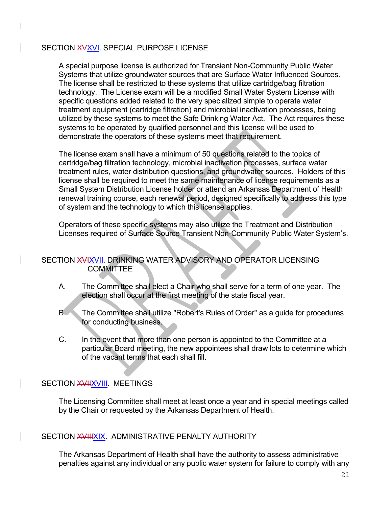#### SECTION XVXVI. SPECIAL PURPOSE LICENSE

A special purpose license is authorized for Transient Non-Community Public Water Systems that utilize groundwater sources that are Surface Water Influenced Sources. The license shall be restricted to these systems that utilize cartridge/bag filtration technology. The License exam will be a modified Small Water System License with specific questions added related to the very specialized simple to operate water treatment equipment (cartridge filtration) and microbial inactivation processes, being utilized by these systems to meet the Safe Drinking Water Act. The Act requires these systems to be operated by qualified personnel and this license will be used to demonstrate the operators of these systems meet that requirement.

The license exam shall have a minimum of 50 questions related to the topics of cartridge/bag filtration technology, microbial inactivation processes, surface water treatment rules, water distribution questions, and groundwater sources. Holders of this license shall be required to meet the same maintenance of license requirements as a Small System Distribution License holder or attend an Arkansas Department of Health renewal training course, each renewal period, designed specifically to address this type of system and the technology to which this license applies.

Operators of these specific systems may also utilize the Treatment and Distribution Licenses required of Surface Source Transient Non-Community Public Water System's.

#### SECTION XVIXVII. DRINKING WATER ADVISORY AND OPERATOR LICENSING **COMMITTEE**

- A. The Committee shall elect a Chair who shall serve for a term of one year. The election shall occur at the first meeting of the state fiscal year.
- B. The Committee shall utilize "Robert's Rules of Order" as a guide for procedures for conducting business.
- C. In the event that more than one person is appointed to the Committee at a particular Board meeting, the new appointees shall draw lots to determine which of the vacant terms that each shall fill.

#### SECTION XVIIXVIII. MEETINGS

The Licensing Committee shall meet at least once a year and in special meetings called by the Chair or requested by the Arkansas Department of Health.

#### SECTION XVIIIXIX. ADMINISTRATIVE PENALTY AUTHORITY

The Arkansas Department of Health shall have the authority to assess administrative penalties against any individual or any public water system for failure to comply with any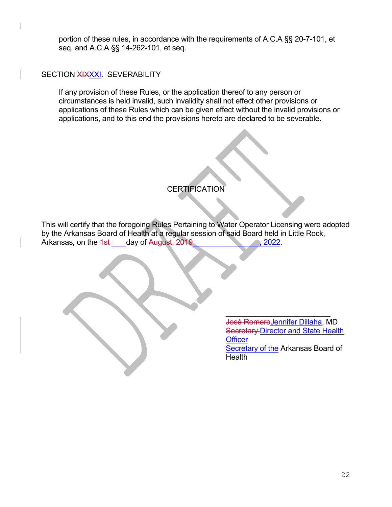portion of these rules, in accordance with the requirements of A.C.A §§ 20-7-101, et seq, and A.C.A §§ 14-262-101, et seq.

#### SECTION XIXXXI. SEVERABILITY

If any provision of these Rules, or the application thereof to any person or circumstances is held invalid, such invalidity shall not effect other provisions or applications of these Rules which can be given effect without the invalid provisions or applications, and to this end the provisions hereto are declared to be severable.

#### **CERTIFICATION**

This will certify that the foregoing Rules Pertaining to Water Operator Licensing were adopted by the Arkansas Board of Health at a regular session of said Board held in Little Rock, Arkansas, on the 1st day of August, 2019

> \_\_\_\_\_\_\_\_\_\_\_\_\_\_\_\_\_\_\_\_\_\_\_\_\_ José RomeroJennifer Dillaha, MD **Secretary Director and State Health Officer Secretary of the Arkansas Board of Health**